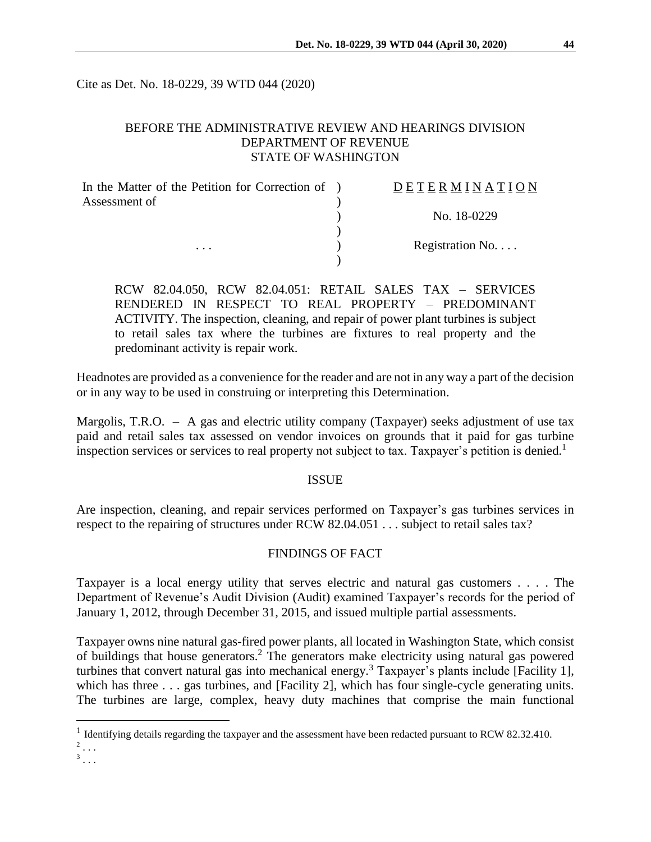Cite as Det. No. 18-0229, 39 WTD 044 (2020)

# BEFORE THE ADMINISTRATIVE REVIEW AND HEARINGS DIVISION DEPARTMENT OF REVENUE STATE OF WASHINGTON

| In the Matter of the Petition for Correction of ) | DETERMINATION   |
|---------------------------------------------------|-----------------|
| Assessment of                                     |                 |
|                                                   | No. 18-0229     |
|                                                   |                 |
| $\cdots$                                          | Registration No |
|                                                   |                 |

RCW 82.04.050, RCW 82.04.051: RETAIL SALES TAX – SERVICES RENDERED IN RESPECT TO REAL PROPERTY – PREDOMINANT ACTIVITY. The inspection, cleaning, and repair of power plant turbines is subject to retail sales tax where the turbines are fixtures to real property and the predominant activity is repair work.

Headnotes are provided as a convenience for the reader and are not in any way a part of the decision or in any way to be used in construing or interpreting this Determination.

Margolis, T.R.O.  $-$  A gas and electric utility company (Taxpayer) seeks adjustment of use tax paid and retail sales tax assessed on vendor invoices on grounds that it paid for gas turbine inspection services or services to real property not subject to tax. Taxpayer's petition is denied. 1

## ISSUE

Are inspection, cleaning, and repair services performed on Taxpayer's gas turbines services in respect to the repairing of structures under RCW 82.04.051 . . . subject to retail sales tax?

# FINDINGS OF FACT

Taxpayer is a local energy utility that serves electric and natural gas customers . . . . The Department of Revenue's Audit Division (Audit) examined Taxpayer's records for the period of January 1, 2012, through December 31, 2015, and issued multiple partial assessments.

Taxpayer owns nine natural gas-fired power plants, all located in Washington State, which consist of buildings that house generators.<sup>2</sup> The generators make electricity using natural gas powered turbines that convert natural gas into mechanical energy.<sup>3</sup> Taxpayer's plants include [Facility 1], which has three . . . gas turbines, and [Facility 2], which has four single-cycle generating units. The turbines are large, complex, heavy duty machines that comprise the main functional

 $\overline{a}$ 

<sup>&</sup>lt;sup>1</sup> Identifying details regarding the taxpayer and the assessment have been redacted pursuant to RCW 82.32.410.  $2$ ...

 $3 \ldots$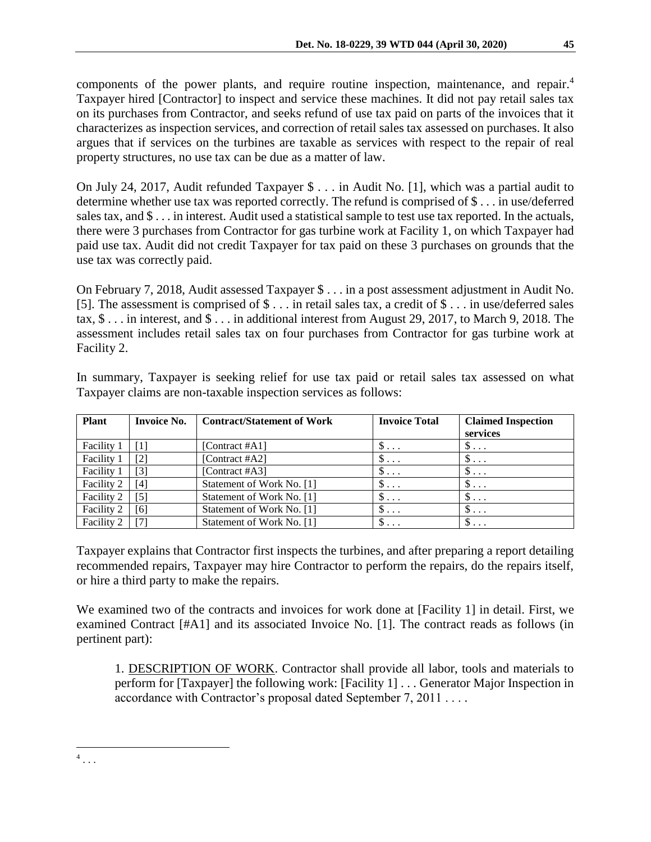components of the power plants, and require routine inspection, maintenance, and repair.<sup>4</sup> Taxpayer hired [Contractor] to inspect and service these machines. It did not pay retail sales tax on its purchases from Contractor, and seeks refund of use tax paid on parts of the invoices that it characterizes as inspection services, and correction of retail sales tax assessed on purchases. It also argues that if services on the turbines are taxable as services with respect to the repair of real property structures, no use tax can be due as a matter of law.

On July 24, 2017, Audit refunded Taxpayer \$ . . . in Audit No. [1], which was a partial audit to determine whether use tax was reported correctly. The refund is comprised of \$ . . . in use/deferred sales tax, and \$ . . . in interest. Audit used a statistical sample to test use tax reported. In the actuals, there were 3 purchases from Contractor for gas turbine work at Facility 1, on which Taxpayer had paid use tax. Audit did not credit Taxpayer for tax paid on these 3 purchases on grounds that the use tax was correctly paid.

On February 7, 2018, Audit assessed Taxpayer \$ . . . in a post assessment adjustment in Audit No. [5]. The assessment is comprised of \$ . . . in retail sales tax, a credit of \$ . . . in use/deferred sales tax, \$ . . . in interest, and \$ . . . in additional interest from August 29, 2017, to March 9, 2018. The assessment includes retail sales tax on four purchases from Contractor for gas turbine work at Facility 2.

| <b>Plant</b> | <b>Invoice No.</b> | <b>Contract/Statement of Work</b> | <b>Invoice Total</b> | <b>Claimed Inspection</b><br>services |
|--------------|--------------------|-----------------------------------|----------------------|---------------------------------------|
| Facility 1   |                    | [Contract $#A1$ ]                 | $\mathcal{D}$        | D<br>$\ddots$                         |
| Facility 1   | [2]                | [Contract $#A2$ ]                 | $\mathcal{D}$        | \$<br>$\ddots$                        |
| Facility 1   | [3]                | [Contract #A3]                    | $\mathbb{S} \dots$   | Φ<br>$\ddots$ .                       |
| Facility 2   | [4]                | Statement of Work No. [1]         | $\mathcal{D}$        | $\mathcal{D}$                         |
| Facility 2   | [5]                | Statement of Work No. [1]         | $\mathsf{\$} \dots$  | $S \ldots$                            |
| Facility 2   | [6]                | Statement of Work No. [1]         | $\mathsf{\$} \dots$  | $S \ldots$                            |
| Facility 2   |                    | Statement of Work No. [1]         | $\mathsf{\$} \dots$  | $S \ldots$                            |

In summary, Taxpayer is seeking relief for use tax paid or retail sales tax assessed on what Taxpayer claims are non-taxable inspection services as follows:

Taxpayer explains that Contractor first inspects the turbines, and after preparing a report detailing recommended repairs, Taxpayer may hire Contractor to perform the repairs, do the repairs itself, or hire a third party to make the repairs.

We examined two of the contracts and invoices for work done at [Facility 1] in detail. First, we examined Contract [#A1] and its associated Invoice No. [1]. The contract reads as follows (in pertinent part):

1. DESCRIPTION OF WORK. Contractor shall provide all labor, tools and materials to perform for [Taxpayer] the following work: [Facility 1] . . . Generator Major Inspection in accordance with Contractor's proposal dated September 7, 2011 . . . .

 $\overline{a}$  $^4$ ...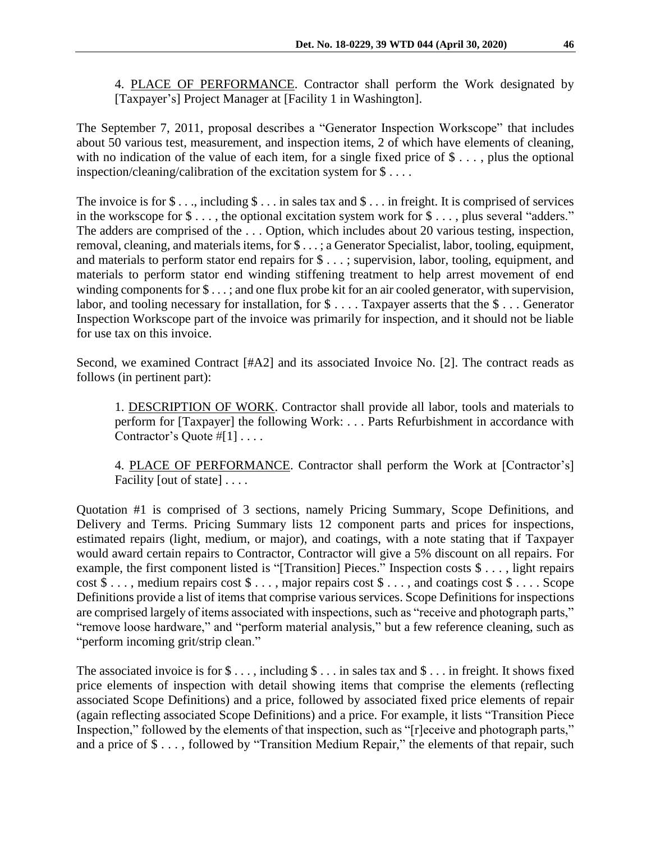4. PLACE OF PERFORMANCE. Contractor shall perform the Work designated by [Taxpayer's] Project Manager at [Facility 1 in Washington].

The September 7, 2011, proposal describes a "Generator Inspection Workscope" that includes about 50 various test, measurement, and inspection items, 2 of which have elements of cleaning, with no indication of the value of each item, for a single fixed price of \$ . . . , plus the optional inspection/cleaning/calibration of the excitation system for \$ . . . .

The invoice is for  $\$\dots$ , including  $\$\dots$  in sales tax and  $\$\dots$  in freight. It is comprised of services in the workscope for \$ . . . , the optional excitation system work for \$ . . . , plus several "adders." The adders are comprised of the . . . Option, which includes about 20 various testing, inspection, removal, cleaning, and materials items, for \$ . . . ; a Generator Specialist, labor, tooling, equipment, and materials to perform stator end repairs for \$ . . . ; supervision, labor, tooling, equipment, and materials to perform stator end winding stiffening treatment to help arrest movement of end winding components for  $\$\dots$ ; and one flux probe kit for an air cooled generator, with supervision, labor, and tooling necessary for installation, for  $\$\dots$  Taxpayer asserts that the  $\$\dots$  Generator Inspection Workscope part of the invoice was primarily for inspection, and it should not be liable for use tax on this invoice.

Second, we examined Contract [#A2] and its associated Invoice No. [2]. The contract reads as follows (in pertinent part):

1. DESCRIPTION OF WORK. Contractor shall provide all labor, tools and materials to perform for [Taxpayer] the following Work: . . . Parts Refurbishment in accordance with Contractor's Quote #[1] . . . .

4. PLACE OF PERFORMANCE. Contractor shall perform the Work at [Contractor's] Facility [out of state] . . . .

Quotation #1 is comprised of 3 sections, namely Pricing Summary, Scope Definitions, and Delivery and Terms. Pricing Summary lists 12 component parts and prices for inspections, estimated repairs (light, medium, or major), and coatings, with a note stating that if Taxpayer would award certain repairs to Contractor, Contractor will give a 5% discount on all repairs. For example, the first component listed is "[Transition] Pieces." Inspection costs \$ . . . , light repairs  $cost \$ \ldots$ , medium repairs  $cost \$ \ldots$ , major repairs  $cost \$ \ldots$ , and coatings  $cost \$ \ldots$ . Scope Definitions provide a list of items that comprise various services. Scope Definitions for inspections are comprised largely of items associated with inspections, such as "receive and photograph parts," "remove loose hardware," and "perform material analysis," but a few reference cleaning, such as "perform incoming grit/strip clean."

The associated invoice is for  $\$\dots$ , including  $\$\dots$  in sales tax and  $\$\dots$  in freight. It shows fixed price elements of inspection with detail showing items that comprise the elements (reflecting associated Scope Definitions) and a price, followed by associated fixed price elements of repair (again reflecting associated Scope Definitions) and a price. For example, it lists "Transition Piece Inspection," followed by the elements of that inspection, such as "[r]eceive and photograph parts," and a price of \$ . . . , followed by "Transition Medium Repair," the elements of that repair, such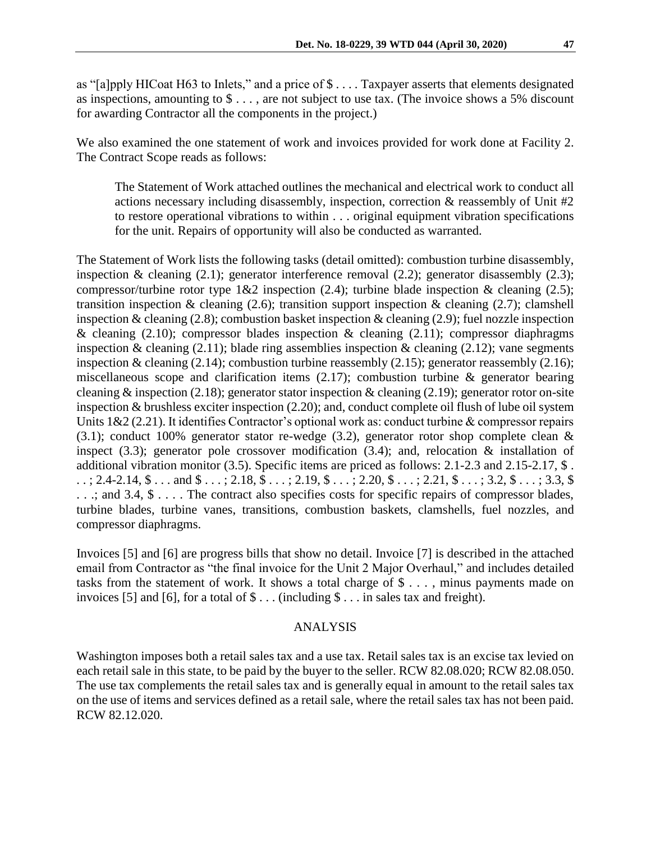as "[a]pply HICoat H63 to Inlets," and a price of \$ . . . . Taxpayer asserts that elements designated as inspections, amounting to \$ . . . , are not subject to use tax. (The invoice shows a 5% discount for awarding Contractor all the components in the project.)

We also examined the one statement of work and invoices provided for work done at Facility 2. The Contract Scope reads as follows:

The Statement of Work attached outlines the mechanical and electrical work to conduct all actions necessary including disassembly, inspection, correction & reassembly of Unit #2 to restore operational vibrations to within . . . original equipment vibration specifications for the unit. Repairs of opportunity will also be conducted as warranted.

The Statement of Work lists the following tasks (detail omitted): combustion turbine disassembly, inspection & cleaning (2.1); generator interference removal (2.2); generator disassembly (2.3); compressor/turbine rotor type  $1&2$  inspection (2.4); turbine blade inspection  $&$  cleaning (2.5); transition inspection  $\&$  cleaning (2.6); transition support inspection  $\&$  cleaning (2.7); clamshell inspection & cleaning (2.8); combustion basket inspection & cleaning (2.9); fuel nozzle inspection & cleaning (2.10); compressor blades inspection & cleaning (2.11); compressor diaphragms inspection & cleaning  $(2.11)$ ; blade ring assemblies inspection & cleaning  $(2.12)$ ; vane segments inspection & cleaning (2.14); combustion turbine reassembly (2.15); generator reassembly (2.16); miscellaneous scope and clarification items (2.17); combustion turbine & generator bearing cleaning & inspection (2.18); generator stator inspection & cleaning (2.19); generator rotor on-site inspection & brushless exciter inspection (2.20); and, conduct complete oil flush of lube oil system Units 1&2 (2.21). It identifies Contractor's optional work as: conduct turbine & compressor repairs (3.1); conduct 100% generator stator re-wedge (3.2), generator rotor shop complete clean  $\&$ inspect (3.3); generator pole crossover modification (3.4); and, relocation & installation of additional vibration monitor (3.5). Specific items are priced as follows: 2.1-2.3 and 2.15-2.17, \$ .  $\ldots$ ; 2.4-2.14,  $\text{\$}\ldots$  and  $\text{\$}\ldots$ ; 2.18,  $\text{\$}\ldots$ ; 2.19,  $\text{\$}\ldots$ ; 2.20,  $\text{\$}\ldots$ ; 2.21,  $\text{\$}\ldots$ ; 3.2,  $\text{\$}\ldots$ ; 3.3,  $\text{\$}$ . . .; and 3.4, \$ . . . . The contract also specifies costs for specific repairs of compressor blades, turbine blades, turbine vanes, transitions, combustion baskets, clamshells, fuel nozzles, and compressor diaphragms.

Invoices [5] and [6] are progress bills that show no detail. Invoice [7] is described in the attached email from Contractor as "the final invoice for the Unit 2 Major Overhaul," and includes detailed tasks from the statement of work. It shows a total charge of \$ . . . , minus payments made on invoices [5] and [6], for a total of  $\$\dots$  (including  $\$\dots$  in sales tax and freight).

## ANALYSIS

Washington imposes both a retail sales tax and a use tax. Retail sales tax is an excise tax levied on each retail sale in this state, to be paid by the buyer to the seller. RCW 82.08.020; RCW 82.08.050. The use tax complements the retail sales tax and is generally equal in amount to the retail sales tax on the use of items and services defined as a retail sale, where the retail sales tax has not been paid. RCW 82.12.020.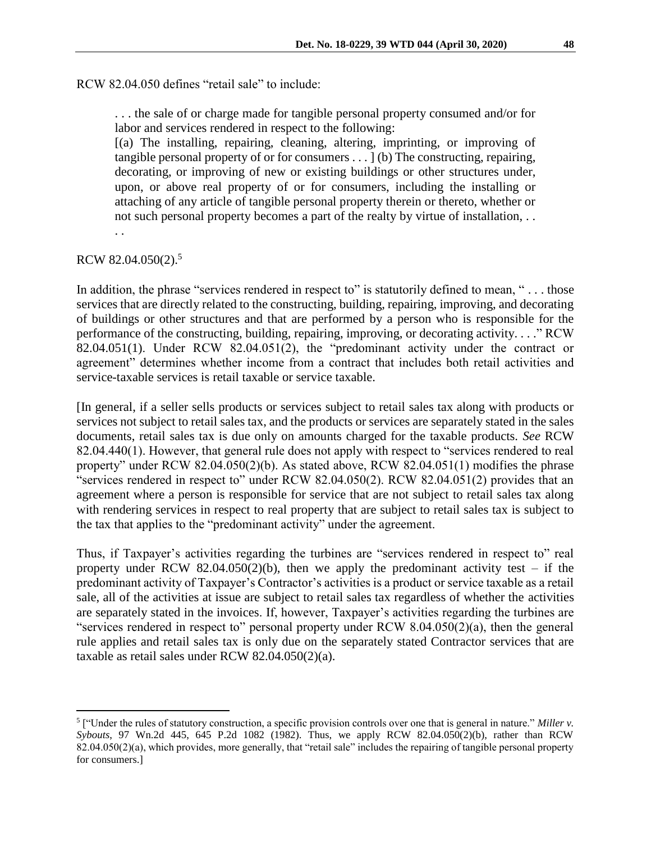RCW 82.04.050 defines "retail sale" to include:

. . . the sale of or charge made for tangible personal property consumed and/or for labor and services rendered in respect to the following:

[(a) The installing, repairing, cleaning, altering, imprinting, or improving of tangible personal property of or for consumers . . . ] (b) The constructing, repairing, decorating, or improving of new or existing buildings or other structures under, upon, or above real property of or for consumers, including the installing or attaching of any article of tangible personal property therein or thereto, whether or not such personal property becomes a part of the realty by virtue of installation, . .

. .

## RCW 82.04.050(2).<sup>5</sup>

 $\overline{a}$ 

In addition, the phrase "services rendered in respect to" is statutorily defined to mean, "... those services that are directly related to the constructing, building, repairing, improving, and decorating of buildings or other structures and that are performed by a person who is responsible for the performance of the constructing, building, repairing, improving, or decorating activity. . . ." RCW 82.04.051(1). Under RCW 82.04.051(2), the "predominant activity under the contract or agreement" determines whether income from a contract that includes both retail activities and service-taxable services is retail taxable or service taxable.

[In general, if a seller sells products or services subject to retail sales tax along with products or services not subject to retail sales tax, and the products or services are separately stated in the sales documents, retail sales tax is due only on amounts charged for the taxable products. *See* RCW 82.04.440(1). However, that general rule does not apply with respect to "services rendered to real property" under RCW 82.04.050(2)(b). As stated above, RCW 82.04.051(1) modifies the phrase "services rendered in respect to" under RCW 82.04.050(2). RCW 82.04.051(2) provides that an agreement where a person is responsible for service that are not subject to retail sales tax along with rendering services in respect to real property that are subject to retail sales tax is subject to the tax that applies to the "predominant activity" under the agreement.

Thus, if Taxpayer's activities regarding the turbines are "services rendered in respect to" real property under RCW 82.04.050(2)(b), then we apply the predominant activity test – if the predominant activity of Taxpayer's Contractor's activities is a product or service taxable as a retail sale, all of the activities at issue are subject to retail sales tax regardless of whether the activities are separately stated in the invoices. If, however, Taxpayer's activities regarding the turbines are "services rendered in respect to" personal property under RCW 8.04.050(2)(a), then the general rule applies and retail sales tax is only due on the separately stated Contractor services that are taxable as retail sales under RCW 82.04.050(2)(a).

<sup>&</sup>lt;sup>5</sup> ["Under the rules of statutory construction, a specific provision controls over one that is general in nature." Miller v. *Sybouts*, 97 Wn.2d 445, 645 P.2d 1082 (1982). Thus, we apply RCW 82.04.050(2)(b), rather than RCW 82.04.050(2)(a), which provides, more generally, that "retail sale" includes the repairing of tangible personal property for consumers.]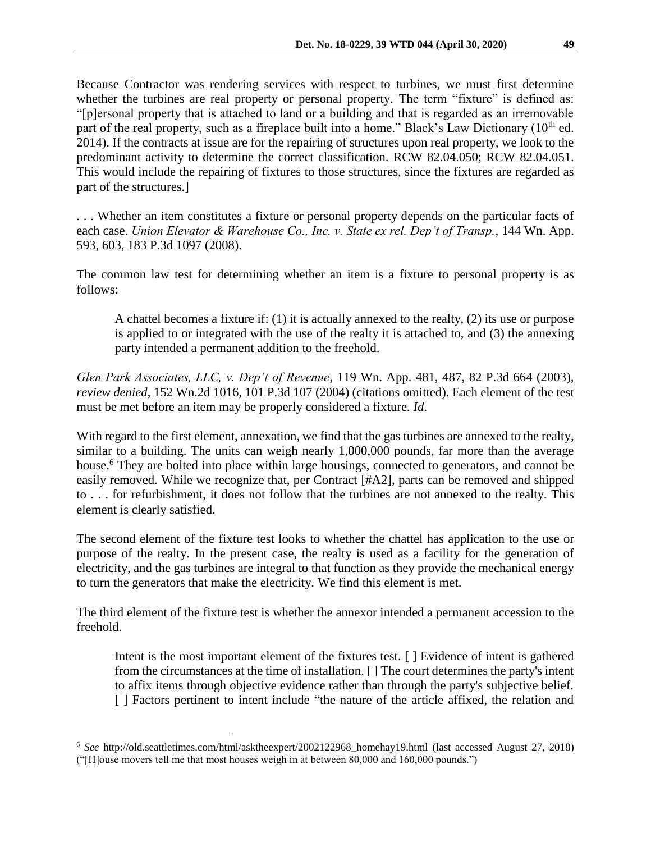Because Contractor was rendering services with respect to turbines, we must first determine whether the turbines are real property or personal property. The term "fixture" is defined as: "[p]ersonal property that is attached to land or a building and that is regarded as an irremovable part of the real property, such as a fireplace built into a home." Black's Law Dictionary  $(10<sup>th</sup>$  ed. 2014). If the contracts at issue are for the repairing of structures upon real property, we look to the predominant activity to determine the correct classification. RCW 82.04.050; RCW 82.04.051. This would include the repairing of fixtures to those structures, since the fixtures are regarded as part of the structures.]

. . . Whether an item constitutes a fixture or personal property depends on the particular facts of each case. *Union Elevator & Warehouse Co., Inc. v. State ex rel. Dep't of Transp.*, 144 Wn. App. 593, 603, 183 P.3d 1097 (2008).

The common law test for determining whether an item is a fixture to personal property is as follows:

A chattel becomes a fixture if: (1) it is actually annexed to the realty, (2) its use or purpose is applied to or integrated with the use of the realty it is attached to, and (3) the annexing party intended a permanent addition to the freehold.

*Glen Park Associates, LLC, v. Dep't of Revenue*, 119 Wn. App. 481, 487, 82 P.3d 664 (2003), *review denied*, 152 Wn.2d 1016, 101 P.3d 107 (2004) (citations omitted). Each element of the test must be met before an item may be properly considered a fixture. *Id*.

With regard to the first element, annexation, we find that the gas turbines are annexed to the realty, similar to a building. The units can weigh nearly 1,000,000 pounds, far more than the average house.<sup>6</sup> They are bolted into place within large housings, connected to generators, and cannot be easily removed. While we recognize that, per Contract [#A2], parts can be removed and shipped to . . . for refurbishment, it does not follow that the turbines are not annexed to the realty. This element is clearly satisfied.

The second element of the fixture test looks to whether the chattel has application to the use or purpose of the realty. In the present case, the realty is used as a facility for the generation of electricity, and the gas turbines are integral to that function as they provide the mechanical energy to turn the generators that make the electricity. We find this element is met.

The third element of the fixture test is whether the annexor intended a permanent accession to the freehold.

Intent is the most important element of the fixtures test. [ ] Evidence of intent is gathered from the circumstances at the time of installation. [ ] The court determines the party's intent to affix items through objective evidence rather than through the party's subjective belief. [ ] Factors pertinent to intent include "the nature of the article affixed, the relation and

 $\overline{a}$ 

<sup>6</sup> *See* http://old.seattletimes.com/html/asktheexpert/2002122968\_homehay19.html (last accessed August 27, 2018) ("[H]ouse movers tell me that most houses weigh in at between 80,000 and 160,000 pounds.")